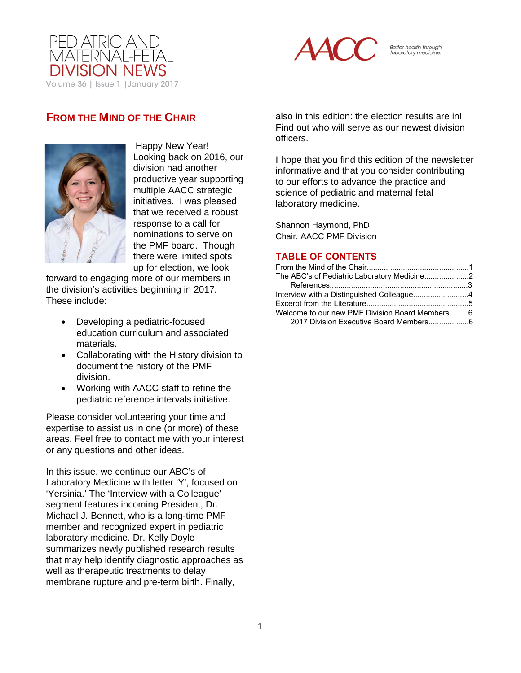



Better health through<br>laboratory medicine.

# **FROM THE MIND OF THE CHAIR**



Happy New Year! Looking back on 2016, our division had another productive year supporting multiple AACC strategic initiatives. I was pleased that we received a robust response to a call for nominations to serve on the PMF board. Though there were limited spots up for election, we look

forward to engaging more of our members in the division's activities beginning in 2017. These include:

- Developing a pediatric-focused education curriculum and associated materials.
- Collaborating with the History division to document the history of the PMF division.
- Working with AACC staff to refine the pediatric reference intervals initiative.

Please consider volunteering your time and expertise to assist us in one (or more) of these areas. Feel free to contact me with your interest or any questions and other ideas.

In this issue, we continue our ABC's of Laboratory Medicine with letter 'Y', focused on 'Yersinia.' The 'Interview with a Colleague' segment features incoming President, Dr. Michael J. Bennett, who is a long-time PMF member and recognized expert in pediatric laboratory medicine. Dr. Kelly Doyle summarizes newly published research results that may help identify diagnostic approaches as well as therapeutic treatments to delay membrane rupture and pre-term birth. Finally,

also in this edition: the election results are in! Find out who will serve as our newest division officers.

I hope that you find this edition of the newsletter informative and that you consider contributing to our efforts to advance the practice and science of pediatric and maternal fetal laboratory medicine.

Shannon Haymond, PhD Chair, AACC PMF Division

### **TABLE OF CONTENTS**

| The ABC's of Pediatric Laboratory Medicine2    |  |
|------------------------------------------------|--|
|                                                |  |
|                                                |  |
|                                                |  |
| Welcome to our new PMF Division Board Members6 |  |
|                                                |  |
|                                                |  |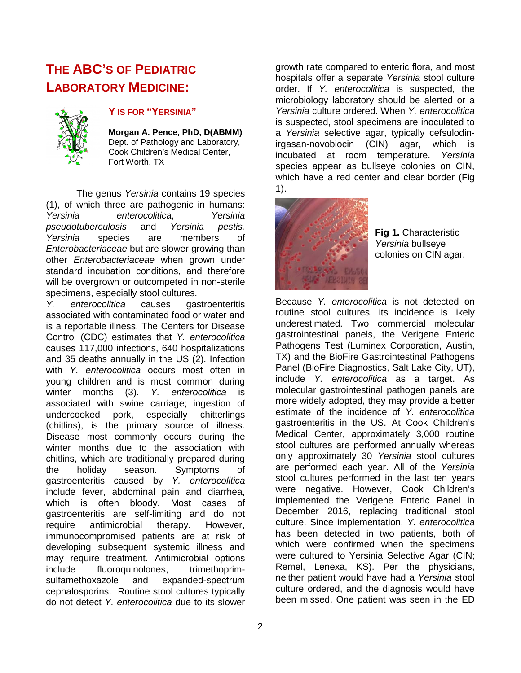# <span id="page-1-0"></span>**THE ABC'S OF PEDIATRIC LABORATORY MEDICINE:**



### **Y IS FOR "YERSINIA"**

**Morgan A. Pence, PhD, D(ABMM)** Dept. of Pathology and Laboratory, Cook Children's Medical Center, Fort Worth, TX

The genus *Yersinia* contains 19 species (1), of which three are pathogenic in humans: *Yersinia enterocolitica*, *Yersinia pseudotuberculosis* and *Yersinia pestis. Yersinia* species are members of *Enterobacteriaceae* but are slower growing than other *Enterobacteriaceae* when grown under standard incubation conditions, and therefore will be overgrown or outcompeted in non-sterile specimens, especially stool cultures.

*Y. enterocolitica* causes gastroenteritis associated with contaminated food or water and is a reportable illness. The Centers for Disease Control (CDC) estimates that *Y. enterocolitica* causes 117,000 infections, 640 hospitalizations and 35 deaths annually in the US (2). Infection with *Y. enterocolitica* occurs most often in young children and is most common during winter months (3). *Y. enterocolitica* is associated with swine carriage; ingestion of undercooked pork, especially chitterlings (chitlins), is the primary source of illness. Disease most commonly occurs during the winter months due to the association with chitlins, which are traditionally prepared during the holiday season. Symptoms of gastroenteritis caused by *Y. enterocolitica* include fever, abdominal pain and diarrhea, which is often bloody. Most cases of gastroenteritis are self-limiting and do not require antimicrobial therapy. However, immunocompromised patients are at risk of developing subsequent systemic illness and may require treatment. Antimicrobial options include fluoroquinolones, trimethoprimsulfamethoxazole and expanded-spectrum cephalosporins. Routine stool cultures typically do not detect *Y. enterocolitica* due to its slower

growth rate compared to enteric flora, and most hospitals offer a separate *Yersinia* stool culture order. If *Y. enterocolitica* is suspected, the microbiology laboratory should be alerted or a *Yersinia* culture ordered. When *Y. enterocolitica* is suspected, stool specimens are inoculated to a *Yersinia* selective agar, typically cefsulodinirgasan-novobiocin (CIN) agar, which is incubated at room temperature. *Yersinia* species appear as bullseye colonies on CIN, which have a red center and clear border (Fig 1).



**Fig 1.** Characteristic *Yersinia* bullseye colonies on CIN agar.

Because *Y. enterocolitica* is not detected on routine stool cultures, its incidence is likely underestimated. Two commercial molecular gastrointestinal panels, the Verigene Enteric Pathogens Test (Luminex Corporation, Austin, TX) and the BioFire Gastrointestinal Pathogens Panel (BioFire Diagnostics, Salt Lake City, UT), include *Y. enterocolitica* as a target. As molecular gastrointestinal pathogen panels are more widely adopted, they may provide a better estimate of the incidence of *Y. enterocolitica* gastroenteritis in the US. At Cook Children's Medical Center, approximately 3,000 routine stool cultures are performed annually whereas only approximately 30 *Yersinia* stool cultures are performed each year. All of the *Yersinia* stool cultures performed in the last ten years were negative. However, Cook Children's implemented the Verigene Enteric Panel in December 2016, replacing traditional stool culture. Since implementation, *Y. enterocolitica* has been detected in two patients, both of which were confirmed when the specimens were cultured to Yersinia Selective Agar (CIN; Remel, Lenexa, KS). Per the physicians, neither patient would have had a *Yersinia* stool culture ordered, and the diagnosis would have been missed. One patient was seen in the ED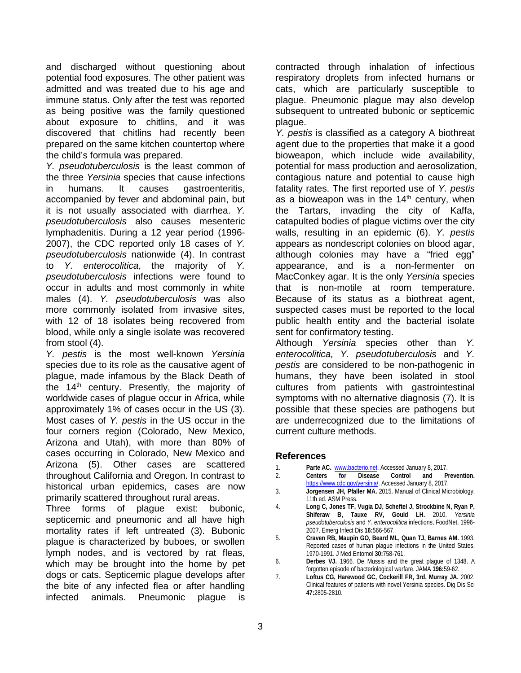<span id="page-2-0"></span>and discharged without questioning about potential food exposures. The other patient was admitted and was treated due to his age and immune status. Only after the test was reported as being positive was the family questioned about exposure to chitlins, and it was discovered that chitlins had recently been prepared on the same kitchen countertop where the child's formula was prepared.

*Y. pseudotuberculosis* is the least common of the three *Yersinia* species that cause infections in humans. It causes gastroenteritis, accompanied by fever and abdominal pain, but it is not usually associated with diarrhea. *Y. pseudotuberculosis* also causes mesenteric lymphadenitis. During a 12 year period (1996- 2007), the CDC reported only 18 cases of *Y. pseudotuberculosis* nationwide (4). In contrast to *Y. enterocolitica*, the majority of *Y. pseudotuberculosis* infections were found to occur in adults and most commonly in white males (4). *Y. pseudotuberculosis* was also more commonly isolated from invasive sites, with 12 of 18 isolates being recovered from blood, while only a single isolate was recovered from stool (4).

*Y. pestis* is the most well-known *Yersinia* species due to its role as the causative agent of plague, made infamous by the Black Death of the  $14<sup>th</sup>$  century. Presently, the majority of worldwide cases of plague occur in Africa, while approximately 1% of cases occur in the US (3). Most cases of *Y. pestis* in the US occur in the four corners region (Colorado, New Mexico, Arizona and Utah), with more than 80% of cases occurring in Colorado, New Mexico and Arizona (5). Other cases are scattered throughout California and Oregon. In contrast to historical urban epidemics, cases are now primarily scattered throughout rural areas.

Three forms of plague exist: bubonic, septicemic and pneumonic and all have high mortality rates if left untreated (3). Bubonic plague is characterized by buboes, or swollen lymph nodes, and is vectored by rat fleas, which may be brought into the home by pet dogs or cats. Septicemic plague develops after the bite of any infected flea or after handling infected animals. Pneumonic plague is contracted through inhalation of infectious respiratory droplets from infected humans or cats, which are particularly susceptible to plague. Pneumonic plague may also develop subsequent to untreated bubonic or septicemic plague.

*Y. pestis* is classified as a category A biothreat agent due to the properties that make it a good bioweapon, which include wide availability, potential for mass production and aerosolization, contagious nature and potential to cause high fatality rates. The first reported use of *Y. pestis* as a bioweapon was in the  $14<sup>th</sup>$  century, when the Tartars, invading the city of Kaffa, catapulted bodies of plague victims over the city walls, resulting in an epidemic (6). *Y. pestis* appears as nondescript colonies on blood agar, although colonies may have a "fried egg" appearance, and is a non-fermenter on MacConkey agar. It is the only *Yersinia* species that is non-motile at room temperature. Because of its status as a biothreat agent, suspected cases must be reported to the local public health entity and the bacterial isolate sent for confirmatory testing.

Although *Yersinia* species other than *Y. enterocolitica, Y. pseudotuberculosis* and *Y. pestis* are considered to be non-pathogenic in humans, they have been isolated in stool cultures from patients with gastrointestinal symptoms with no alternative diagnosis (7). It is possible that these species are pathogens but are underrecognized due to the limitations of current culture methods.

### **References**

- 
- 1. **Parte AC. www.bacterio.net.** Accessed January 8, 2017.<br>
2. **Centers for Disease Control and Prevention. For Disease Control and** [https://www.cdc.gov/yersinia/.](https://www.cdc.gov/yersinia/) Accessed January 8, 2017.
- 3. **Jorgensen JH, Pfaller MA.** 2015. Manual of Clinical Microbiology, 11th ed. ASM Press.
- 4. **Long C, Jones TF, Vugia DJ, Scheftel J, Strockbine N, Ryan P, Shiferaw B, Tauxe RV, Gould LH.** 2010. *Yersinia pseudotuberculosis* and *Y. enterocolitica* infections, FoodNet, 1996- 2007. Emerg Infect Dis **16:**566-567.
- 5. **Craven RB, Maupin GO, Beard ML, Quan TJ, Barnes AM.** 1993. Reported cases of human plague infections in the United States, 1970-1991. J Med Entomol **30:**758-761.
- 6. **Derbes VJ.** 1966. De Mussis and the great plague of 1348. A forgotten episode of bacteriological warfare. JAMA **196:**59-62.
- 7. **Loftus CG, Harewood GC, Cockerill FR, 3rd, Murray JA.** 2002. Clinical features of patients with novel Yersinia species. Dig Dis Sci **47:**2805-2810.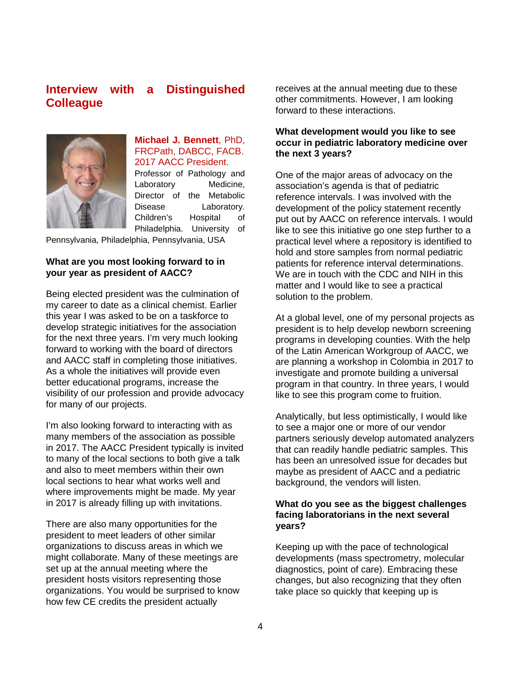# <span id="page-3-0"></span>**Interview with a Distinguished Colleague**



### **Michael J. Bennett**, PhD, FRCPath, DABCC, FACB. 2017 AACC President.

Professor of Pathology and Laboratory Medicine, Director of the Metabolic Disease Laboratory. Children's Hospital of Philadelphia. University of

Pennsylvania, Philadelphia, Pennsylvania, USA

### **What are you most looking forward to in your year as president of AACC?**

Being elected president was the culmination of my career to date as a clinical chemist. Earlier this year I was asked to be on a taskforce to develop strategic initiatives for the association for the next three years. I'm very much looking forward to working with the board of directors and AACC staff in completing those initiatives. As a whole the initiatives will provide even better educational programs, increase the visibility of our profession and provide advocacy for many of our projects.

I'm also looking forward to interacting with as many members of the association as possible in 2017. The AACC President typically is invited to many of the local sections to both give a talk and also to meet members within their own local sections to hear what works well and where improvements might be made. My year in 2017 is already filling up with invitations.

There are also many opportunities for the president to meet leaders of other similar organizations to discuss areas in which we might collaborate. Many of these meetings are set up at the annual meeting where the president hosts visitors representing those organizations. You would be surprised to know how few CE credits the president actually

receives at the annual meeting due to these other commitments. However, I am looking forward to these interactions.

### **What development would you like to see occur in pediatric laboratory medicine over the next 3 years?**

One of the major areas of advocacy on the association's agenda is that of pediatric reference intervals. I was involved with the development of the policy statement recently put out by AACC on reference intervals. I would like to see this initiative go one step further to a practical level where a repository is identified to hold and store samples from normal pediatric patients for reference interval determinations. We are in touch with the CDC and NIH in this matter and I would like to see a practical solution to the problem.

At a global level, one of my personal projects as president is to help develop newborn screening programs in developing counties. With the help of the Latin American Workgroup of AACC, we are planning a workshop in Colombia in 2017 to investigate and promote building a universal program in that country. In three years, I would like to see this program come to fruition.

Analytically, but less optimistically, I would like to see a major one or more of our vendor partners seriously develop automated analyzers that can readily handle pediatric samples. This has been an unresolved issue for decades but maybe as president of AACC and a pediatric background, the vendors will listen.

### **What do you see as the biggest challenges facing laboratorians in the next several years?**

Keeping up with the pace of technological developments (mass spectrometry, molecular diagnostics, point of care). Embracing these changes, but also recognizing that they often take place so quickly that keeping up is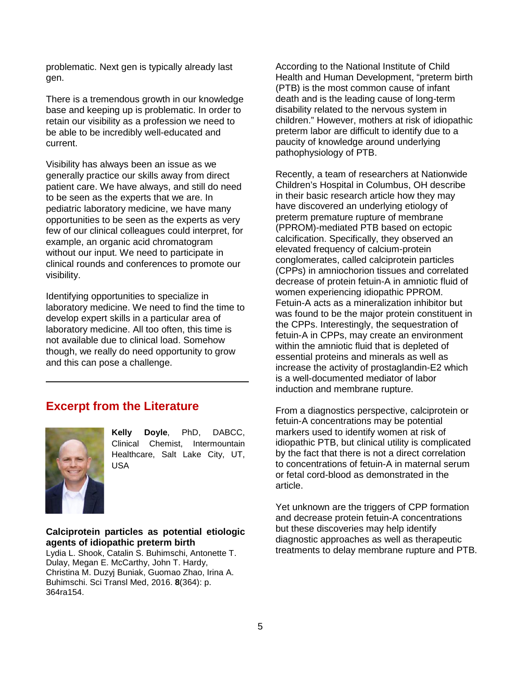<span id="page-4-0"></span>problematic. Next gen is typically already last gen.

There is a tremendous growth in our knowledge base and keeping up is problematic. In order to retain our visibility as a profession we need to be able to be incredibly well-educated and current.

Visibility has always been an issue as we generally practice our skills away from direct patient care. We have always, and still do need to be seen as the experts that we are. In pediatric laboratory medicine, we have many opportunities to be seen as the experts as very few of our clinical colleagues could interpret, for example, an organic acid chromatogram without our input. We need to participate in clinical rounds and conferences to promote our visibility.

Identifying opportunities to specialize in laboratory medicine. We need to find the time to develop expert skills in a particular area of laboratory medicine. All too often, this time is not available due to clinical load. Somehow though, we really do need opportunity to grow and this can pose a challenge.

### **Excerpt from the Literature**



**Kelly Doyle**, PhD, DABCC, Clinical Chemist, Intermountain Healthcare, Salt Lake City, UT, USA

### **Calciprotein particles as potential etiologic agents of idiopathic preterm birth**

Lydia L. Shook, Catalin S. Buhimschi, Antonette T. Dulay, Megan E. McCarthy, John T. Hardy, Christina M. Duzyj Buniak, Guomao Zhao, Irina A. Buhimschi. Sci Transl Med, 2016. **8**(364): p. 364ra154.

According to the National Institute of Child Health and Human Development, "preterm birth (PTB) is the most common cause of infant death and is the leading cause of long-term disability related to the nervous system in children." However, mothers at risk of idiopathic preterm labor are difficult to identify due to a paucity of knowledge around underlying pathophysiology of PTB.

Recently, a team of researchers at Nationwide Children's Hospital in Columbus, OH describe in their basic research article how they may have discovered an underlying etiology of preterm premature rupture of membrane (PPROM)-mediated PTB based on ectopic calcification. Specifically, they observed an elevated frequency of calcium-protein conglomerates, called calciprotein particles (CPPs) in amniochorion tissues and correlated decrease of protein fetuin-A in amniotic fluid of women experiencing idiopathic PPROM. Fetuin-A acts as a mineralization inhibitor but was found to be the major protein constituent in the CPPs. Interestingly, the sequestration of fetuin-A in CPPs, may create an environment within the amniotic fluid that is depleted of essential proteins and minerals as well as increase the activity of prostaglandin-E2 which is a well-documented mediator of labor induction and membrane rupture.

From a diagnostics perspective, calciprotein or fetuin-A concentrations may be potential markers used to identify women at risk of idiopathic PTB, but clinical utility is complicated by the fact that there is not a direct correlation to concentrations of fetuin-A in maternal serum or fetal cord-blood as demonstrated in the article.

Yet unknown are the triggers of CPP formation and decrease protein fetuin-A concentrations but these discoveries may help identify diagnostic approaches as well as therapeutic treatments to delay membrane rupture and PTB.